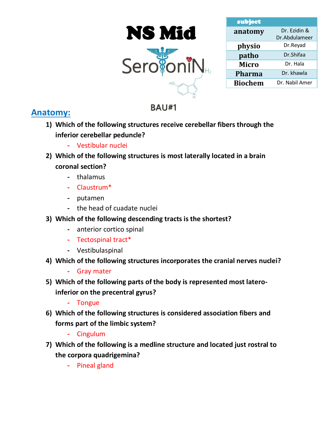



| subject        |                |  |
|----------------|----------------|--|
| anatomy        | Dr. Ezidin &   |  |
|                | Dr.Abdulameer  |  |
| physio         | Dr.Reyad       |  |
| patho          | Dr.Shifaa      |  |
| <b>Micro</b>   | Dr. Hala       |  |
| <b>Pharma</b>  | Dr. khawla     |  |
| <b>Biochem</b> | Dr. Nabil Amer |  |

# **Anatomy:**

**1) Which of the following structures receive cerebellar fibers through the inferior cerebellar peduncle?**

**BAU#1** 

- **-** Vestibular nuclei
- **2) Which of the following structures is most laterally located in a brain coronal section?**
	- **-** thalamus
	- **-** Claustrum\*
	- **-** putamen
	- **-** the head of cuadate nuclei
- **3) Which of the following descending tracts is the shortest?**
	- **-** anterior cortico spinal
	- **-** Tectospinal tract\*
	- **-** Vestibulaspinal
- **4) Which of the following structures incorporates the cranial nerves nuclei?**
	- **-** Gray mater
- **5) Which of the following parts of the body is represented most lateroinferior on the precentral gyrus?**
	- **-** Tongue
- **6) Which of the following structures is considered association fibers and forms part of the limbic system?**
	- **-** Cingulum
- **7) Which of the following is a medline structure and located just rostral to the corpora quadrigemina?**
	- **-** Pineal gland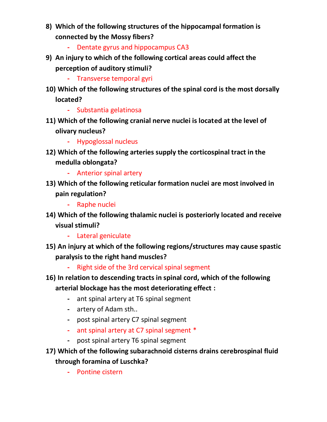- **8) Which of the following structures of the hippocampal formation is connected by the Mossy fibers?**
	- **-** Dentate gyrus and hippocampus CA3
- **9) An injury to which of the following cortical areas could affect the perception of auditory stimuli?**
	- **-** Transverse temporal gyri
- **10) Which of the following structures of the spinal cord is the most dorsally located?**
	- **-** Substantia gelatinosa
- **11) Which of the following cranial nerve nuclei is located at the level of olivary nucleus?**
	- **-** Hypoglossal nucleus
- **12) Which of the following arteries supply the corticospinal tract in the medulla oblongata?**
	- **-** Anterior spinal artery
- **13) Which of the following reticular formation nuclei are most involved in pain regulation?**
	- **-** Raphe nuclei
- **14) Which of the following thalamic nuclei is posteriorly located and receive visual stimuli?**
	- **-** Lateral geniculate
- **15) An injury at which of the following regions/structures may cause spastic paralysis to the right hand muscles?**
	- **-** Right side of the 3rd cervical spinal segment
- **16) In relation to descending tracts in spinal cord, which of the following arterial blockage has the most deteriorating effect :**
	- **-** ant spinal artery at T6 spinal segment
	- **-** artery of Adam sth..
	- **-** post spinal artery C7 spinal segment
	- **-** ant spinal artery at C7 spinal segment \*
	- **-** post spinal artery T6 spinal segment
- **17) Which of the following subarachnoid cisterns drains cerebrospinal fluid through foramina of Luschka?**
	- **-** Pontine cistern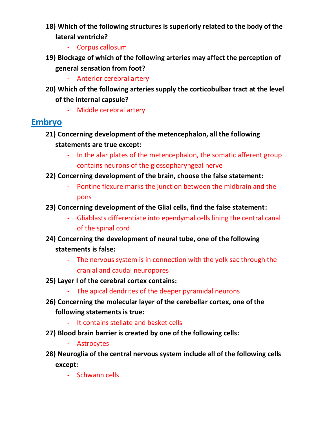- **18) Which of the following structures is superiorly related to the body of the lateral ventricle?**
	- **-** Corpus callosum
- **19) Blockage of which of the following arteries may affect the perception of general sensation from foot?**
	- **-** Anterior cerebral artery
- **20) Which of the following arteries supply the corticobulbar tract at the level of the internal capsule?**
	- **-** Middle cerebral artery

# **Embryo**

- **21) Concerning development of the metencephalon, all the following statements are true except:**
	- **-** In the alar plates of the metencephalon, the somatic afferent group contains neurons of the glossopharyngeal nerve
- **22) Concerning development of the brain, choose the false statement:**
	- **-** Pontine flexure marks the junction between the midbrain and the pons
- **23) Concerning development of the Glial cells, find the false statement:**
	- **-** Gliablasts differentiate into ependymal cells lining the central canal of the spinal cord
- **24) Concerning the development of neural tube, one of the following statements is false:**
	- **-** The nervous system is in connection with the yolk sac through the cranial and caudal neuropores
- **25) Layer I of the cerebral cortex contains:**
	- **-** The apical dendrites of the deeper pyramidal neurons
- **26) Concerning the molecular layer of the cerebellar cortex, one of the following statements is true:**
	- **-** It contains stellate and basket cells
- **27) Blood brain barrier is created by one of the following cells:**
	- **-** Astrocytes
- **28) Neuroglia of the central nervous system include all of the following cells except:**
	- **-** Schwann cells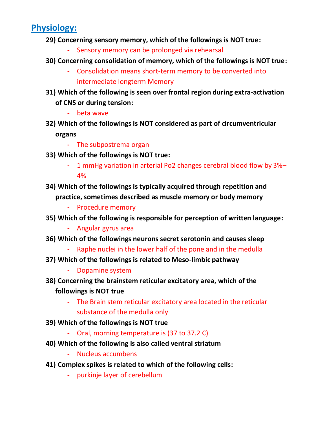# **Physiology:**

- **29) Concerning sensory memory, which of the followings is NOT true:** 
	- **-** Sensory memory can be prolonged via rehearsal
- **30) Concerning consolidation of memory, which of the followings is NOT true:** 
	- **-** Consolidation means short-term memory to be converted into intermediate longterm Memory
- **31) Which of the following is seen over frontal region during extra-activation of CNS or during tension:**
	- **-** beta wave
- **32) Which of the followings is NOT considered as part of circumventricular organs**
	- **-** The subpostrema organ
- **33) Which of the followings is NOT true:**
	- **-** 1 mmHg variation in arterial Po2 changes cerebral blood flow by 3%– 4%
- **34) Which of the followings is typically acquired through repetition and practice, sometimes described as muscle memory or body memory**
	- **-** Procedure memory
- **35) Which of the following is responsible for perception of written language:**
	- **-** Angular gyrus area
- **36) Which of the followings neurons secret serotonin and causes sleep**
	- **-** Raphe nuclei in the lower half of the pone and in the medulla
- **37) Which of the followings is related to Meso-limbic pathway**
	- **-** Dopamine system
- **38) Concerning the brainstem reticular excitatory area, which of the followings is NOT true**
	- **-** The Brain stem reticular excitatory area located in the reticular substance of the medulla only
- **39) Which of the followings is NOT true**
	- **-** Oral, morning temperature is (37 to 37.2 C)
- **40) Which of the following is also called ventral striatum**
	- **-** Nucleus accumbens
- **41) Complex spikes is related to which of the following cells:**
	- **-** purkinje layer of cerebellum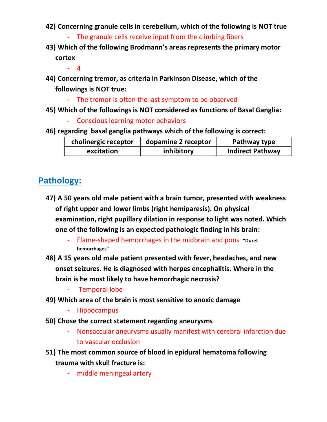- **42) Concerning granule cells in cerebellum, which of the following is NOT true**
	- **-** The granule cells receive input from the climbing fibers
- **43) Which of the following Brodmann's areas represents the primary motor cortex**

**-** 4

- **44) Concerning tremor, as criteria in Parkinson Disease, which of the followings is NOT true:**
	- **-** The tremor is often the last symptom to be observed
- **45) Which of the followings is NOT considered as functions of Basal Ganglia:**
	- **-** Conscious learning motor behaviors
- **46) regarding basal ganglia pathways which of the following is correct:**

| cholinergic receptor | dopamine 2 receptor | Pathway type            |
|----------------------|---------------------|-------------------------|
| excitation           | inhibitory          | <b>Indirect Pathway</b> |

# **Pathology:**

- **47) A 50 years old male patient with a brain tumor, presented with weakness of right upper and lower limbs (right hemiparesis). On physical examination, right pupillary dilation in response to light was noted. Which one of the following is an expected pathologic finding in his brain:**
	- **-** Flame-shaped hemorrhages in the midbrain and pons **"Duret hemorrhages"**
- **48) A 15 years old male patient presented with fever, headaches, and new onset seizures. He is diagnosed with herpes encephalitis. Where in the brain is he most likely to have hemorrhagic necrosis?**
	- **-** Temporal lobe
- **49) Which area of the brain is most sensitive to anoxic damage**
	- **-** Hippocampus
- **50) Chose the correct statement regarding aneurysms**
	- **-** Nonsaccular aneurysms usually manifest with cerebral infarction due to vascular occlusion
- **51) The most common source of blood in epidural hematoma following trauma with skull fracture is:**
	- **-** middle meningeal artery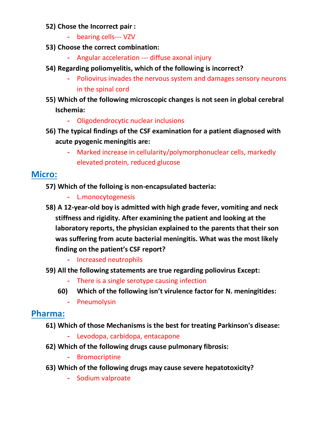#### **52) Chose the Incorrect pair :**

- **-** bearing cells--- VZV
- **53) Choose the correct combination:**
	- **-** Angular acceleration --- diffuse axonal injury
- **54) Regarding poliomyelitis, which of the following is incorrect?**
	- **-** Poliovirus invades the nervous system and damages sensory neurons in the spinal cord
- **55) Which of the following microscopic changes is not seen in global cerebral Ischemia:**
	- **-** Oligodendrocytic nuclear inclusions
- **56) The typical findings of the CSF examination for a patient diagnosed with acute pyogenic meningitis are:**
	- **-** Marked increase in cellularity/polymorphonuclear cells, markedly elevated protein, reduced glucose

# **Micro:**

- **57) Which of the folloing is non-encapsulated bacteria:**
	- **-** L.monocytogenesis
- **58) A 12-year-old boy is admitted with high grade fever, vomiting and neck stiffness and rigidity. After examining the patient and looking at the laboratory reports, the physician explained to the parents that their son was suffering from acute bacterial meningitis. What was the most likely finding on the patient's CSF report?**
	- **-** Increased neutrophils
- **59) All the following statements are true regarding poliovirus Except:**
	- **-** There is a single serotype causing infection
	- **60) Which of the following isn't virulence factor for N. meningitides:**
		- **-** Pneumolysin

#### **Pharma:**

- **61) Which of those Mechanisms is the best for treating Parkinson's disease:**
	- **-** Levodopa, carbidopa, entacapone
- **62) Which of the following drugs cause pulmonary fibrosis:**
	- **-** Bromocriptine
- **63) Which of the following drugs may cause severe hepatotoxicity?**
	- **-** Sodium valproate